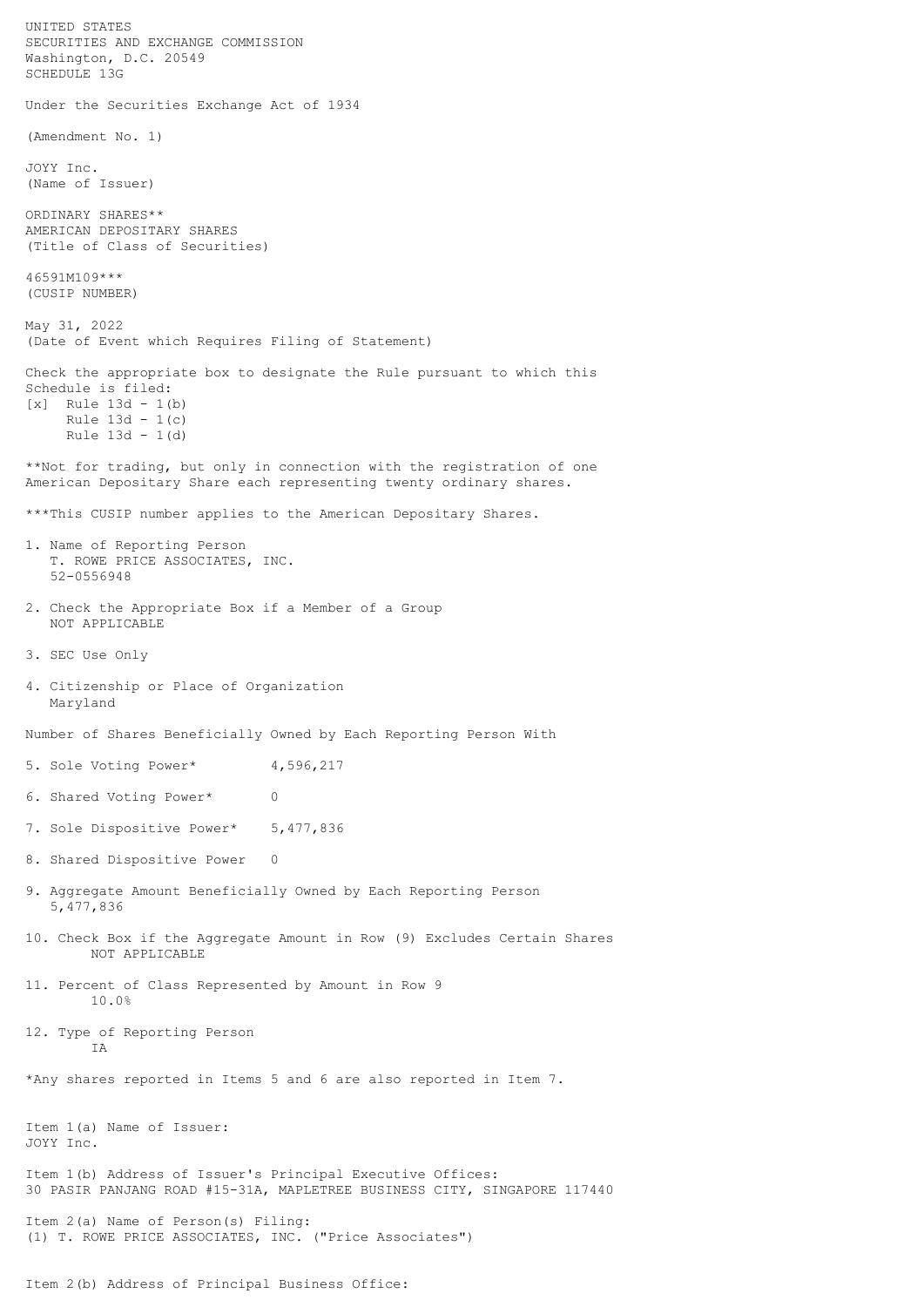UNITED STATES SECURITIES AND EXCHANGE COMMISSION Washington, D.C. 20549 SCHEDULE 13G Under the Securities Exchange Act of 1934 (Amendment No. 1) JOYY Inc. (Name of Issuer) ORDINARY SHARES\*\* AMERICAN DEPOSITARY SHARES (Title of Class of Securities) 46591M109\*\*\* (CUSIP NUMBER) May 31, 2022 (Date of Event which Requires Filing of Statement) Check the appropriate box to designate the Rule pursuant to which this Schedule is filed: [x] Rule 13d - 1(b) Rule 13d - 1(c) Rule 13d - 1(d) \*\*Not for trading, but only in connection with the registration of one American Depositary Share each representing twenty ordinary shares. \*\*\*This CUSIP number applies to the American Depositary Shares. 1. Name of Reporting Person T. ROWE PRICE ASSOCIATES, INC. 52-0556948 2. Check the Appropriate Box if a Member of a Group NOT APPLICABLE 3. SEC Use Only 4. Citizenship or Place of Organization Maryland Number of Shares Beneficially Owned by Each Reporting Person With 5. Sole Voting Power\* 4,596,217 6. Shared Voting Power\* 0 7. Sole Dispositive Power\* 5,477,836 8. Shared Dispositive Power 0 9. Aggregate Amount Beneficially Owned by Each Reporting Person 5,477,836 10. Check Box if the Aggregate Amount in Row (9) Excludes Certain Shares NOT APPLICABLE 11. Percent of Class Represented by Amount in Row 9 10.0% 12. Type of Reporting Person IA \*Any shares reported in Items 5 and 6 are also reported in Item 7. Item 1(a) Name of Issuer: JOYY Inc. Item 1(b) Address of Issuer's Principal Executive Offices: 30 PASIR PANJANG ROAD #15-31A, MAPLETREE BUSINESS CITY, SINGAPORE 117440 Item 2(a) Name of Person(s) Filing: (1) T. ROWE PRICE ASSOCIATES, INC. ("Price Associates")

Item 2(b) Address of Principal Business Office: